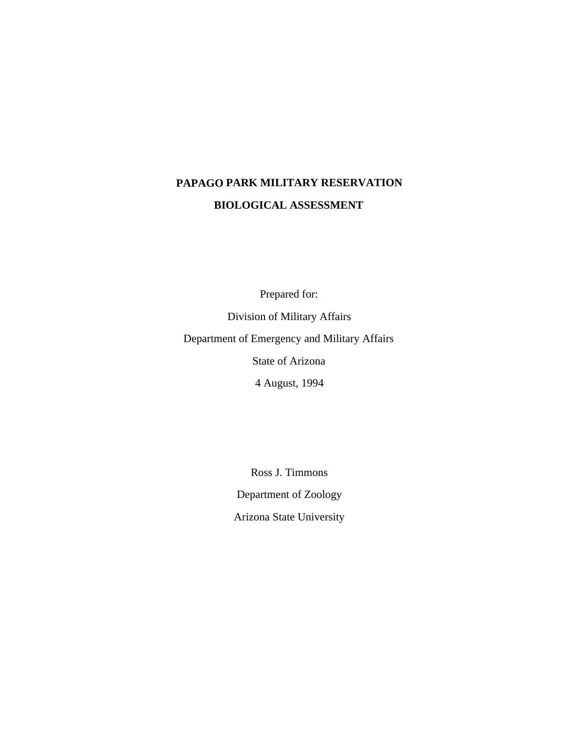# **PAPAGO PARK MILITARY RESERVATION BIOLOGICAL ASSESSMENT**

Prepared for:

Division of Military Affairs Department of Emergency and Military Affairs State of Arizona 4 August, 1994

> Ross J. Timmons Department of Zoology Arizona State University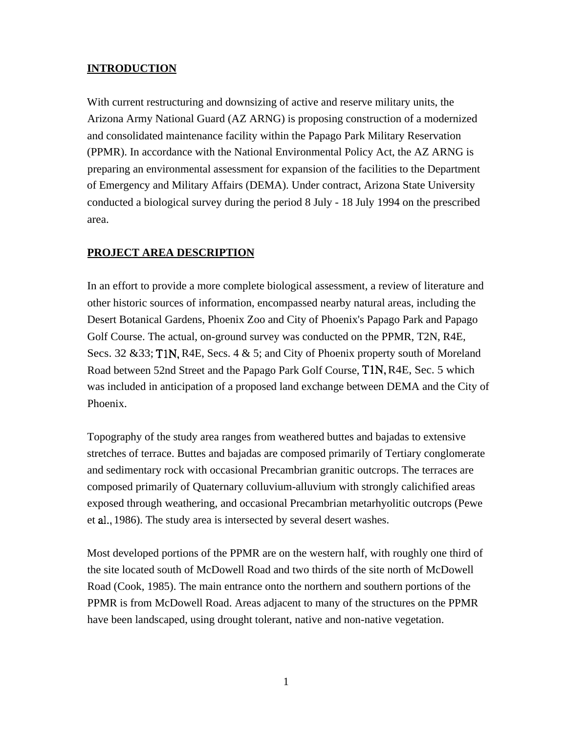# **INTRODUCTION**

With current restructuring and downsizing of active and reserve military units, the Arizona Army National Guard (AZ ARNG) is proposing construction of a modernized and consolidated maintenance facility within the Papago Park Military Reservation (PPMR). In accordance with the National Environmental Policy Act, the AZ ARNG is preparing an environmental assessment for expansion of the facilities to the Department of Emergency and Military Affairs (DEMA). Under contract, Arizona State University conducted a biological survey during the period 8 July - 18 July 1994 on the prescribed area.

# **PROJECT AREA DESCRIPTION**

In an effort to provide a more complete biological assessment, a review of literature and other historic sources of information, encompassed nearby natural areas, including the Desert Botanical Gardens, Phoenix Zoo and City of Phoenix's Papago Park and Papago Golf Course. The actual, on-ground survey was conducted on the PPMR, T2N, R4E, Secs. 32 & 33; T1N, R4E, Secs. 4 & 5; and City of Phoenix property south of Moreland Road between 52nd Street and the Papago Park Golf Course, T1N, R4E, Sec. 5 which was included in anticipation of a proposed land exchange between DEMA and the City of Phoenix.

Topography of the study area ranges from weathered buttes and bajadas to extensive stretches of terrace. Buttes and bajadas are composed primarily of Tertiary conglomerate and sedimentary rock with occasional Precambrian granitic outcrops. The terraces are composed primarily of Quaternary colluvium-alluvium with strongly calichified areas exposed through weathering, and occasional Precambrian metarhyolitic outcrops (Pewe et al.,1986). The study area is intersected by several desert washes.

Most developed portions of the PPMR are on the western half, with roughly one third of the site located south of McDowell Road and two thirds of the site north of McDowell Road (Cook, 1985). The main entrance onto the northern and southern portions of the PPMR is from McDowell Road. Areas adjacent to many of the structures on the PPMR have been landscaped, using drought tolerant, native and non-native vegetation.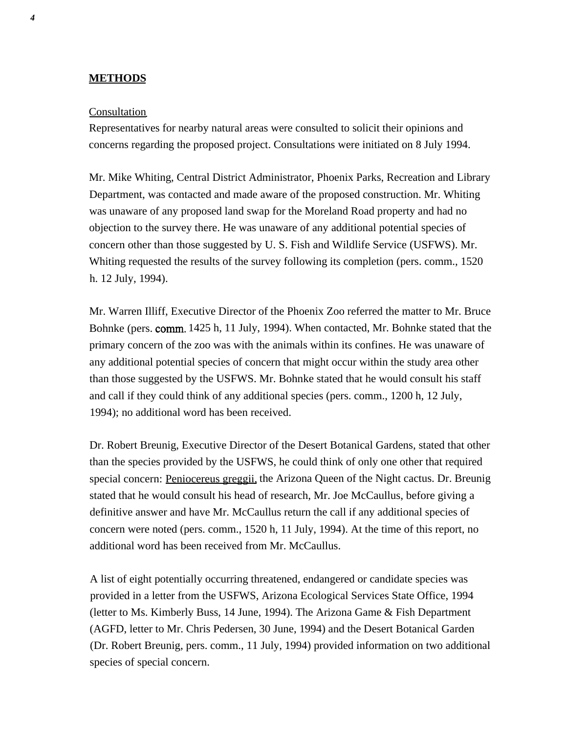# **METHODS**

#### Consultation

Representatives for nearby natural areas were consulted to solicit their opinions and concerns regarding the proposed project. Consultations were initiated on 8 July 1994.

Mr. Mike Whiting, Central District Administrator, Phoenix Parks, Recreation and Library Department, was contacted and made aware of the proposed construction. Mr. Whiting was unaware of any proposed land swap for the Moreland Road property and had no objection to the survey there. He was unaware of any additional potential species of concern other than those suggested by U. S. Fish and Wildlife Service (USFWS). Mr. Whiting requested the results of the survey following its completion (pers. comm., 1520 h. 12 July, 1994).

Mr. Warren Illiff, Executive Director of the Phoenix Zoo referred the matter to Mr. Bruce Bohnke (pers. comm. 1425 h, 11 July, 1994). When contacted, Mr. Bohnke stated that the primary concern of the zoo was with the animals within its confines. He was unaware of any additional potential species of concern that might occur within the study area other than those suggested by the USFWS. Mr. Bohnke stated that he would consult his staff and call if they could think of any additional species (pers. comm., 1200 h, 12 July, 1994); no additional word has been received.

Dr. Robert Breunig, Executive Director of the Desert Botanical Gardens, stated that other than the species provided by the USFWS, he could think of only one other that required special concern: Peniocereus greggii, the Arizona Queen of the Night cactus. Dr. Breunig stated that he would consult his head of research, Mr. Joe McCaullus, before giving a definitive answer and have Mr. McCaullus return the call if any additional species of concern were noted (pers. comm., 1520 h, 11 July, 1994). At the time of this report, no additional word has been received from Mr. McCaullus.

A list of eight potentially occurring threatened, endangered or candidate species was provided in a letter from the USFWS, Arizona Ecological Services State Office, 1994 (letter to Ms. Kimberly Buss, 14 June, 1994). The Arizona Game & Fish Department (AGFD, letter to Mr. Chris Pedersen, 30 June, 1994) and the Desert Botanical Garden (Dr. Robert Breunig, pers. comm., 11 July, 1994) provided information on two additional species of special concern.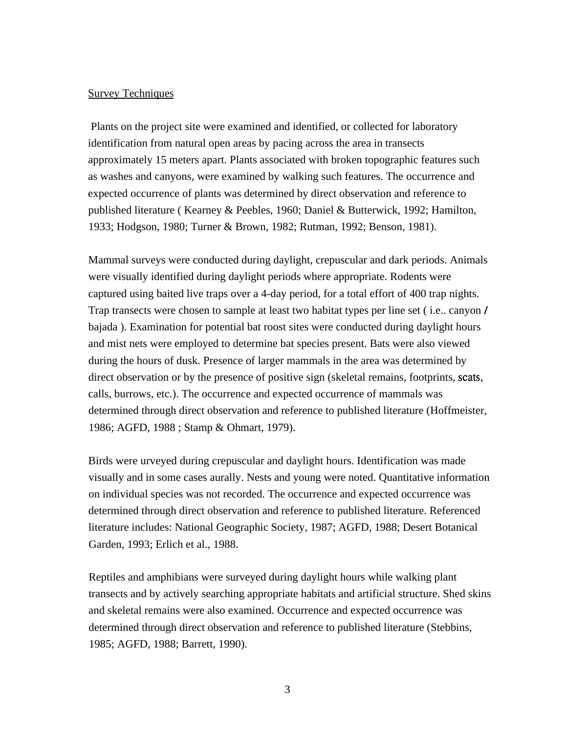#### **Survey Techniques**

Plants on the project site were examined and identified, or collected for laboratory identification from natural open areas by pacing across the area in transects approximately 15 meters apart. Plants associated with broken topographic features such as washes and canyons, were examined by walking such features. The occurrence and expected occurrence of plants was determined by direct observation and reference to published literature ( Kearney & Peebles, 1960; Daniel & Butterwick, 1992; Hamilton, 1933; Hodgson, 1980; Turner & Brown, 1982; Rutman, 1992; Benson, 1981).

Mammal surveys were conducted during daylight, crepuscular and dark periods. Animals were visually identified during daylight periods where appropriate. Rodents were captured using baited live traps over a 4-day period, for a total effort of 400 trap nights. Trap transects were chosen to sample at least two habitat types per line set ( i.e.. canyon / bajada ). Examination for potential bat roost sites were conducted during daylight hours and mist nets were employed to determine bat species present. Bats were also viewed during the hours of dusk. Presence of larger mammals in the area was determined by direct observation or by the presence of positive sign (skeletal remains, footprints, scats, calls, burrows, etc.). The occurrence and expected occurrence of mammals was determined through direct observation and reference to published literature (Hoffmeister, 1986; AGFD, 1988 ; Stamp & Ohmart, 1979).

Birds were urveyed during crepuscular and daylight hours. Identification was made visually and in some cases aurally. Nests and young were noted. Quantitative information on individual species was not recorded. The occurrence and expected occurrence was determined through direct observation and reference to published literature. Referenced literature includes: National Geographic Society, 1987; AGFD, 1988; Desert Botanical Garden, 1993; Erlich et al., 1988.

Reptiles and amphibians were surveyed during daylight hours while walking plant transects and by actively searching appropriate habitats and artificial structure. Shed skins and skeletal remains were also examined. Occurrence and expected occurrence was determined through direct observation and reference to published literature (Stebbins, 1985; AGFD, 1988; Barrett, 1990).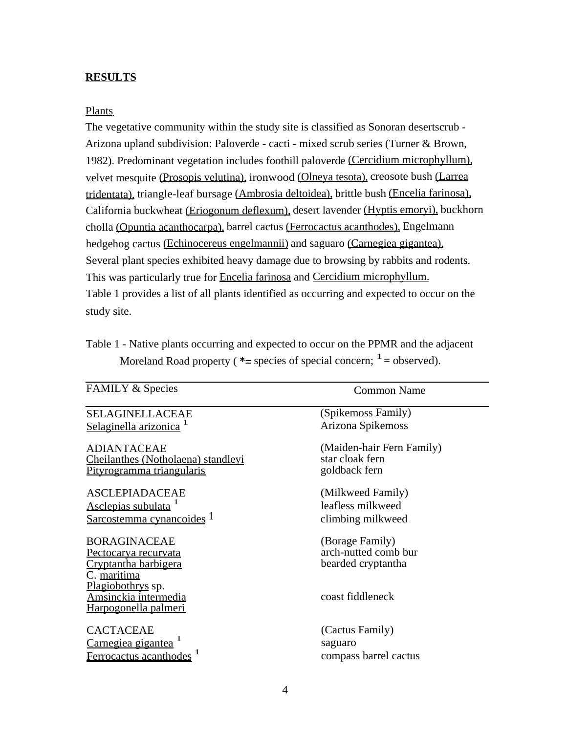## **RESULTS**

#### Plants

The vegetative community within the study site is classified as Sonoran desertscrub - Arizona upland subdivision: Paloverde - cacti - mixed scrub series (Turner & Brown, 1982). Predominant vegetation includes foothill paloverde (Cercidium microphyllum), velvet mesquite (Prosopis velutina), ironwood (Olneya tesota), creosote bush (Larrea tridentata), triangle-leaf bursage (Ambrosia deltoidea), brittle bush (Encelia farinosa), California buckwheat (Eriogonum deflexum), desert lavender (Hyptis emoryi), buckhorn cholla (Opuntia acanthocarpa), barrel cactus (Ferrocactus acanthodes), Engelmann hedgehog cactus (Echinocereus engelmannii) and saguaro (Carnegiea gigantea). Several plant species exhibited heavy damage due to browsing by rabbits and rodents. This was particularly true for Encelia farinosa and Cercidium microphyllum. Table 1 provides a list of all plants identified as occurring and expected to occur on the study site.

| Table 1 - Native plants occurring and expected to occur on the PPMR and the adjacent |  |  |
|--------------------------------------------------------------------------------------|--|--|
| Moreland Road property ( $*$ = species of special concern; $1$ = observed).          |  |  |

| <b>FAMILY &amp; Species</b>                                                        | <b>Common Name</b>                                            |
|------------------------------------------------------------------------------------|---------------------------------------------------------------|
| <b>SELAGINELLACEAE</b>                                                             | (Spikemoss Family)                                            |
| Selaginella arizonica <sup>1</sup>                                                 | Arizona Spikemoss                                             |
| <b>ADIANTACEAE</b>                                                                 | (Maiden-hair Fern Family)                                     |
| Cheilanthes (Notholaena) standleyi                                                 | star cloak fern                                               |
| Pityrogramma triangularis                                                          | goldback fern                                                 |
| <b>ASCLEPIADACEAE</b>                                                              | (Milkweed Family)                                             |
| Asclepias subulata <sup>1</sup>                                                    | leafless milkweed                                             |
| Sarcostemma cynancoides 1                                                          | climbing milkweed                                             |
| <b>BORAGINACEAE</b><br>Pectocarya recurvata<br>Cryptantha barbigera<br>C. maritima | (Borage Family)<br>arch-nutted comb bur<br>bearded cryptantha |
| Plagiobothrys sp.<br>Amsinckia intermedia<br><u>Harpogonella palmeri</u>           | coast fiddleneck                                              |
| <b>CACTACEAE</b>                                                                   | (Cactus Family)                                               |
| Carnegiea gigantea <sup>1</sup>                                                    | saguaro                                                       |
| Ferrocactus acanthodes <sup>1</sup>                                                | compass barrel cactus                                         |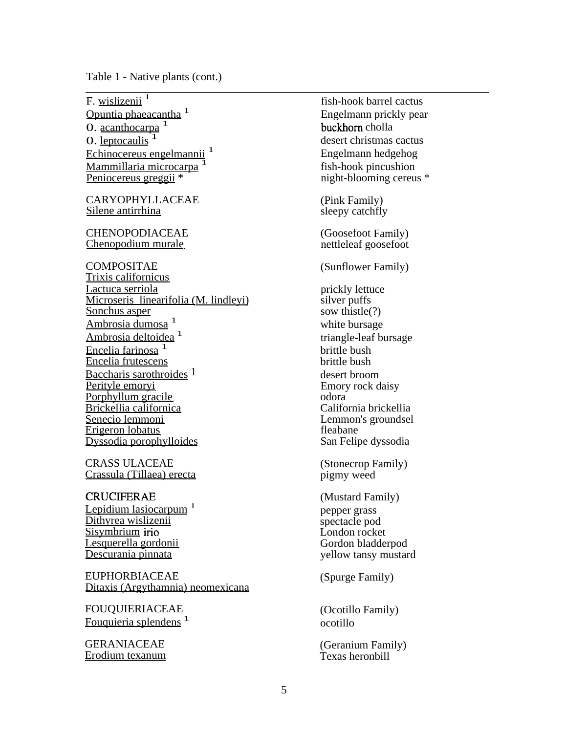Table 1 - Native plants (cont.)

F. wislizenii $\frac{1}{1}$ Opuntia phaeacantha<sup>1</sup> **O**. acanthocarpa  $<sup>1</sup>$ </sup>  $\overline{0}$ . leptocaulis  $\overline{1}$ Echinocereus engelmannii<sup>1</sup> Mammillaria microcarpa<sup>1</sup> Peniocereus greggii \*

CARYOPHYLLACEAE Silene antirrhina

CHENOPODIACEAE Chenopodium murale

COMPOSITAE Trixis californicus Lactuca serriola Microseris linearifolia (M. lindleyi) Sonchus asper Ambrosia dumosa<sup>1</sup> Ambrosia deltoidea<sup>1</sup> Encelia farinosa<sup>1</sup> Encelia frutescens Baccharis sarothroides 1 Perityle emoryi Porphyllum gracile Brickellia californica Senecio lemmoni Erigeron lobatus Dyssodia porophylloides

CRASS ULACEAE Crassula (Tillaea) erecta

**CRUCIFERAE** Lepidium lasiocarpum<sup>1</sup> Dithyrea wislizenii Sisymbrium irio Lesquerella gordonii Descurania pinnata

EUPHORBIACEAE Ditaxis (Argythamnia) neomexicana

FOUQUIERIACEAE Fouquieria splendens<sup>1</sup>

GERANIACEAE Erodium texanum

fish-hook barrel cactus Engelmann prickly pear buckhorn cholla desert christmas cactus Engelmann hedgehog fish-hook pincushion night-blooming cereus \* (Pink Family) sleepy catchfly (Goosefoot Family) nettleleaf goosefoot (Sunflower Family) prickly lettuce silver puffs sow thistle(?) white bursage triangle-leaf bursage brittle bush brittle bush desert broom Emory rock daisy odora California brickellia Lemmon's groundsel fleabane San Felipe dyssodia (Stonecrop Family) pigmy weed (Mustard Family) pepper grass spectacle pod London rocket Gordon bladderpod yellow tansy mustard (Spurge Family) (Ocotillo Family) ocotillo

(Geranium Family) Texas heronbill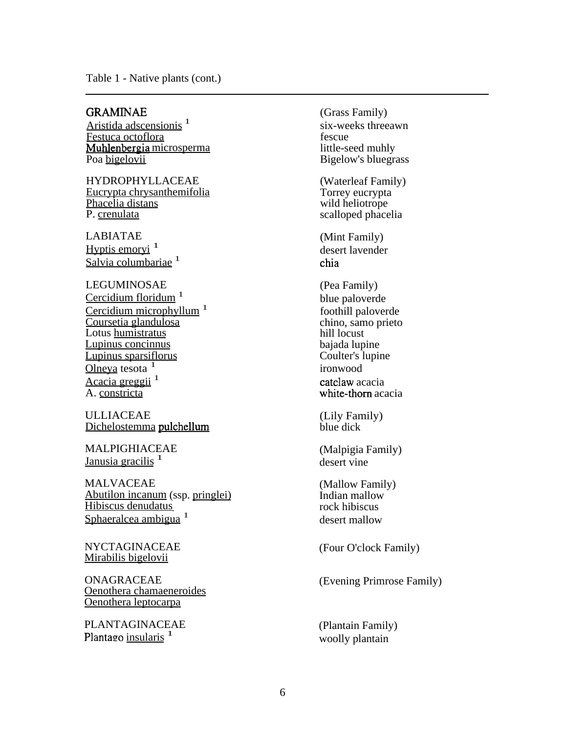#### Table 1 - Native plants (cont.)

# GRAMINAE

Aristida adscensionis<sup>1</sup> Festuca octoflora Muhlenbergia microsperma Poa bigelovii

HYDROPHYLLACEAE Eucrypta chrysanthemifolia Phacelia distans P. crenulata

LABIATAE Hyptis emoryi $<sup>1</sup>$ </sup> Salvia columbariae<sup>1</sup>

#### LEGUMINOSAE

Cercidium floridum<sup>1</sup> Cercidium microphyllum<sup>1</sup> Coursetia glandulosa Lotus humistratus Lupinus concinnus Lupinus sparsiflorus Olneya tesota  $1$ Acacia greggii<sup>1</sup> A. constricta

ULLIACEAE Dichelostemma pulchellum

MALPIGHIACEAE Janusia gracilis<sup>1</sup>

MALVACEAE Abutilon incanum(ssp. pringlei) Hibiscus denudatus Sphaeralcea ambigua<sup>1</sup>

NYCTAGINACEAE Mirabilis bigelovii

ONAGRACEAE Oenothera chamaeneroides Oenothera leptocarpa

PLANTAGINACEAE (Plantain Family) Plantago <u>insularis</u> <sup>1</sup> woolly plantain

(Grass Family) six-weeks threeawn fescue little-seed muhly Bigelow's bluegrass (Waterleaf Family) Torrey eucrypta wild heliotrope scalloped phacelia (Mint Family) desert lavender chia (Pea Family) blue paloverde foothill paloverde chino, samo prieto hill locust bajada lupine Coulter's lupine ironwood catclaw acacia white-thorn acacia (Lily Family) blue dick (Malpigia Family) desert vine (Mallow Family) Indian mallow rock hibiscus desert mallow (Four O'clock Family)

(Evening Primrose Family)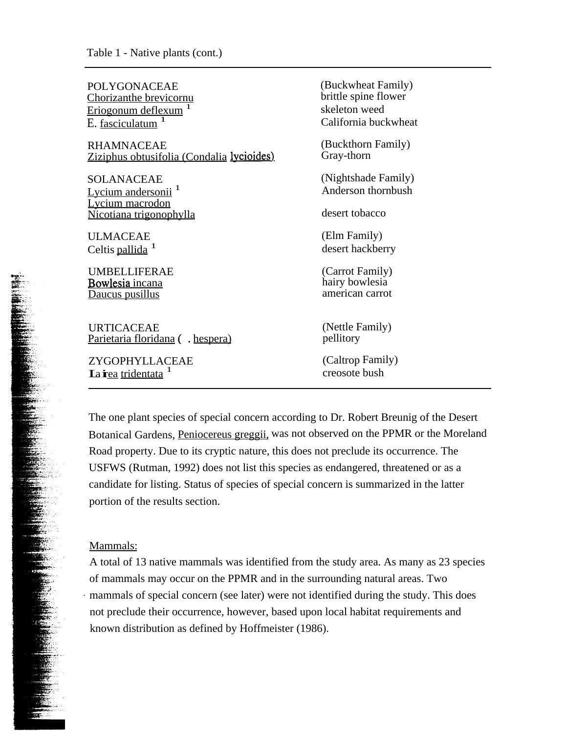| POLYGONACEAE                                     | (Buckwheat Family)   |
|--------------------------------------------------|----------------------|
| Chorizanthe brevicornu                           | brittle spine flower |
| Eriogonum deflexum                               | skeleton weed        |
| E. fasciculatum                                  | California buckwheat |
| <b>RHAMNACEAE</b>                                | (Buckthorn Family)   |
| <u>Ziziphus obtusifolia (Condalia lycioides)</u> | Gray-thorn           |
| SOLANACEAE                                       | (Nightshade Family)  |
| Lycium andersonii <sup>1</sup>                   | Anderson thornbush   |
| Lycium macrodon<br>Nicotiana trigonophylla       | desert tobacco       |
| <b>ULMACEAE</b>                                  | (Elm Family)         |
| Celtis pallida <sup>1</sup>                      | desert hackberry     |
| <b>UMBELLIFERAE</b>                              | (Carrot Family)      |
| <b>Bowlesia</b> incana                           | hairy bowlesia       |
| Daucus pusillus                                  | american carrot      |
| <b>URTICACEAE</b>                                | (Nettle Family)      |
| Parietaria floridana ( . hespera)                | pellitory            |
| ZYGOPHYLLACEAE                                   | (Caltrop Family)     |
| Lairea tridentata <sup>1</sup>                   | creosote bush        |

The one plant species of special concern according to Dr. Robert Breunig of the Desert Botanical Gardens, Peniocereus greggii, was not observed on the PPMR or the Moreland Road property. Due to its cryptic nature, this does not preclude its occurrence. The USFWS (Rutman, 1992) does not list this species as endangered, threatened or as a candidate for listing. Status of species of special concern is summarized in the latter portion of the results section.

## Mammals:

**11,.. <sup>0</sup>• • •••••-, •** 

> A total of 13 native mammals was identified from the study area. As many as 23 species of mammals may occur on the PPMR and in the surrounding natural areas. Two mammals of special concern (see later) were not identified during the study. This does not preclude their occurrence, however, based upon local habitat requirements and known distribution as defined by Hoffmeister (1986).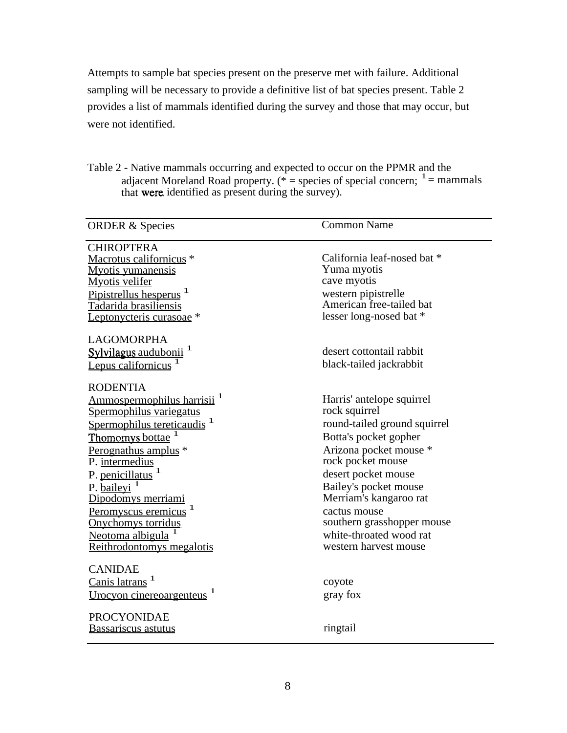Attempts to sample bat species present on the preserve met with failure. Additional sampling will be necessary to provide a definitive list of bat species present. Table 2 provides a list of mammals identified during the survey and those that may occur, but were not identified.

Table 2 - Native mammals occurring and expected to occur on the PPMR and the adjacent Moreland Road property. ( $* =$  species of special concern;  $1 =$  mammals that were identified as present during the survey).

| <b>ORDER &amp; Species</b>                                                                                                                                                                                                                                                                                                                                                              | <b>Common Name</b>                                                                                                                                                                                                                                                                                                             |
|-----------------------------------------------------------------------------------------------------------------------------------------------------------------------------------------------------------------------------------------------------------------------------------------------------------------------------------------------------------------------------------------|--------------------------------------------------------------------------------------------------------------------------------------------------------------------------------------------------------------------------------------------------------------------------------------------------------------------------------|
| <b>CHIROPTERA</b><br>Macrotus californicus <sup>*</sup><br><b>Myotis yumanensis</b><br><b>Myotis velifer</b><br>Pipistrellus hesperus <sup>1</sup><br>Tadarida brasiliensis<br>Leptonycteris curasoae <sup>*</sup><br><b>LAGOMORPHA</b><br>Sylvilagus audubonii <sup>1</sup><br>Lepus californicus                                                                                      | California leaf-nosed bat *<br>Yuma myotis<br>cave myotis<br>western pipistrelle<br>American free-tailed bat<br>lesser long-nosed bat *<br>desert cottontail rabbit<br>black-tailed jackrabbit                                                                                                                                 |
| <b>RODENTIA</b><br>Ammospermophilus harrisii <sup>1</sup><br>Spermophilus variegatus<br>Spermophilus tereticaudis <sup>1</sup><br>Thomomys bottae<br>Perognathus amplus *<br>P. intermedius<br>P. penicillatus <sup>1</sup><br>P. bailevi <sup>1</sup><br>Dipodomys merriami<br>Peromyscus eremicus <sup>1</sup><br>Onychomys torridus<br>Neotoma albigula<br>Reithrodontomys megalotis | Harris' antelope squirrel<br>rock squirrel<br>round-tailed ground squirrel<br>Botta's pocket gopher<br>Arizona pocket mouse *<br>rock pocket mouse<br>desert pocket mouse<br>Bailey's pocket mouse<br>Merriam's kangaroo rat<br>cactus mouse<br>southern grasshopper mouse<br>white-throated wood rat<br>western harvest mouse |
| <b>CANIDAE</b><br>Canis latrans <sup>1</sup><br>Urocyon cinereoargenteus <sup>1</sup><br><b>PROCYONIDAE</b>                                                                                                                                                                                                                                                                             | coyote<br>gray fox                                                                                                                                                                                                                                                                                                             |
| <b>Bassariscus astutus</b>                                                                                                                                                                                                                                                                                                                                                              | ringtail                                                                                                                                                                                                                                                                                                                       |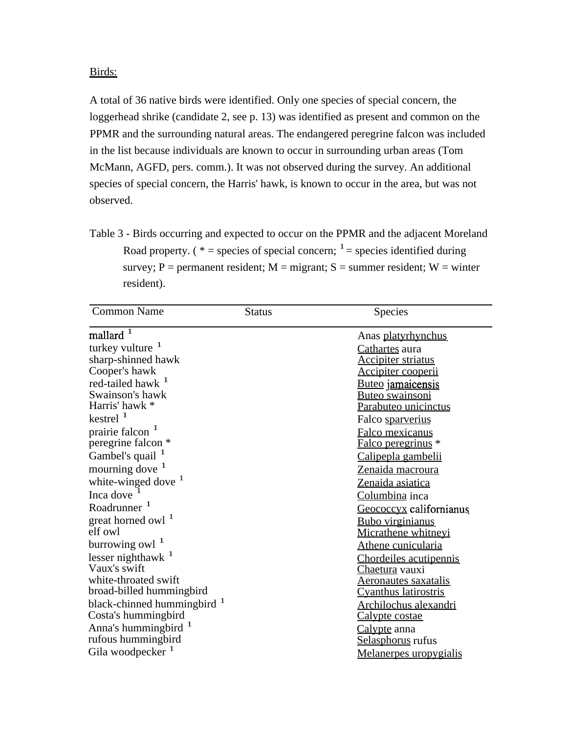#### Birds:

A total of 36 native birds were identified. Only one species of special concern, the loggerhead shrike (candidate 2, see p. 13) was identified as present and common on the PPMR and the surrounding natural areas. The endangered peregrine falcon was included in the list because individuals are known to occur in surrounding urban areas (Tom McMann, AGFD, pers. comm.). It was not observed during the survey. An additional species of special concern, the Harris' hawk, is known to occur in the area, but was not observed.

Table 3 - Birds occurring and expected to occur on the PPMR and the adjacent Moreland Road property. (  $* =$  species of special concern;  $\frac{1}{1} =$  species identified during survey; P = permanent resident; M = migrant; S = summer resident; W = winter resident).

| <b>Common Name</b>                     | <b>Status</b> | Species                     |
|----------------------------------------|---------------|-----------------------------|
| mallard $\,1$                          |               | Anas platyrhynchus          |
| turkey vulture $1$                     |               | Cathartes aura              |
| sharp-shinned hawk                     |               | <b>Accipiter striatus</b>   |
| Cooper's hawk                          |               | Accipiter cooperii          |
| red-tailed hawk <sup>1</sup>           |               | Buteo jamaicensis           |
| Swainson's hawk                        |               | <u>Buteo swainsoni</u>      |
| Harris' hawk *                         |               | Parabuteo unicinctus        |
| kestrel $1$                            |               | Falco sparverius            |
| prairie falcon <sup>1</sup>            |               | Falco mexicanus             |
| peregrine falcon *                     |               | Falco peregrinus *          |
| Gambel's quail <sup>1</sup>            |               | Calipepla gambelii          |
| mourning dove <sup>1</sup>             |               | Zenaida macroura            |
| white-winged dove $1$                  |               | Zenaida asiatica            |
| Inca dove                              |               | Columbina inca              |
| Roadrunner <sup>1</sup>                |               | Geococcyx californianus     |
| great horned owl <sup>1</sup>          |               | <u>Bubo virginianus</u>     |
| elf owl                                |               | Micrathene whitneyi         |
| burrowing owl $^{-1}$                  |               | Athene cunicularia          |
| lesser nighthawk $1$                   |               | Chordeiles acutipennis      |
| Vaux's swift                           |               | Chaetura vauxi              |
| white-throated swift                   |               | <u>Aeronautes saxatalis</u> |
| broad-billed hummingbird               |               | <b>Cyanthus latirostris</b> |
| black-chinned hummingbird <sup>1</sup> |               | Archilochus alexandri       |
| Costa's hummingbird                    |               | <u>Calypte costae</u>       |
| Anna's hummingbird <sup>1</sup>        |               | Calypte anna                |
| rufous hummingbird                     |               | Selasphorus rufus           |
| Gila woodpecker <sup>1</sup>           |               | Melanerpes uropygialis      |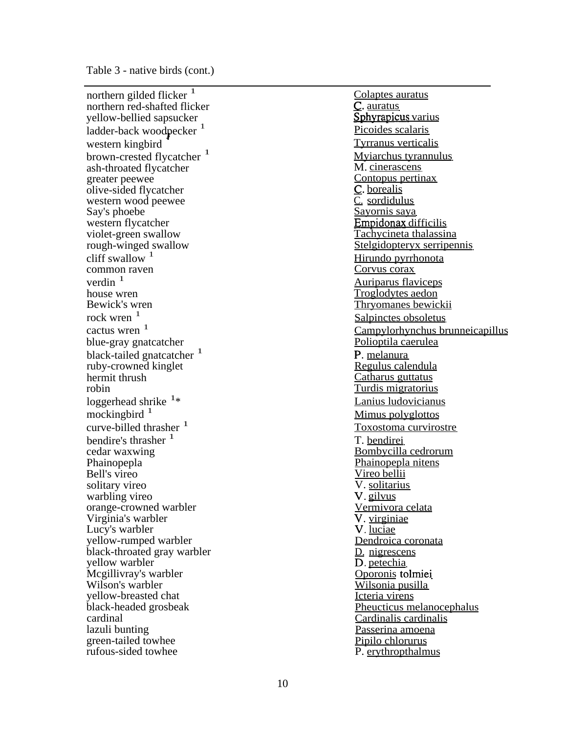Table 3 - native birds (cont.)

northern gilded flicker<sup>1</sup> northern red-shafted flicker yellow-bellied sapsucker ladder-back woodpecker<sup>1</sup> western kingbird brown-crested flycatcher <sup>1</sup> ash-throated flycatcher greater peewee olive-sided flycatcher western wood peewee Say's phoebe western flycatcher violet-green swallow rough-winged swallow cliff swallow  $1$ common raven verdin $1$ house wren Bewick's wren rock wren  $<sup>1</sup>$ </sup> cactus wren  $<sup>1</sup>$ </sup> blue-gray gnatcatcher black-tailed gnatcatcher <sup>1</sup> ruby-crowned kinglet hermit thrush robin loggerhead shrike <sup>1</sup>\* mockingbird $<sup>1</sup>$ </sup> curve-billed thrasher  $<sup>1</sup>$ </sup> bendire's thrasher <sup>1</sup> cedar waxwing Phainopepla Bell's vireo solitary vireo warbling vireo orange-crowned warbler Virginia's warbler Lucy's warbler yellow-rumped warbler black-throated gray warbler yellow warbler Mcgillivray's warbler Wilson's warbler yellow-breasted chat black-headed grosbeak cardinal lazuli bunting green-tailed towhee rufous-sided towhee

Colaptes auratus C. auratus Sphyrapicus varius Picoides scalaris Tyrranus verticalis Myiarchus tyrannulus M. cinerascens Contopus pertinax C. borealis C. sordidulus Sayornis saya Empidonax difficilis Tachycineta thalassina Stelgidopteryx serripennis Hirundo pyrrhonota Corvus corax Auriparus flaviceps Troglodytes aedon Thryomanes bewickii Salpinctes obsoletus Campylorhynchus brunneicapillus Polioptila caerulea P. melanura Regulus calendula Catharus guttatus Turdis migratorius Lanius ludovicianus Mimus polyglottos Toxostoma curvirostre T. bendirei Bombycilla cedrorum Phainopepla nitens Vireo bellii V. solitarius V. gilvus Vermivora celata V. virginiae V. luciae Dendroica coronata D. nigrescens D. petechia Oporonis tolmiei Wilsonia pusilla Icteria virens Pheucticus melanocephalus Cardinalis cardinalis Passerina amoena Pipilo chlorurus P. erythropthalmus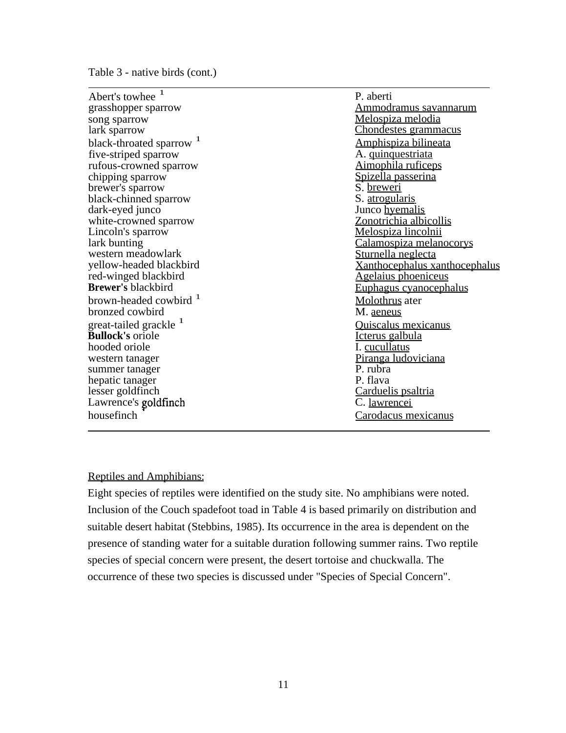Table 3 - native birds (cont.)

| Abert's towhee $1$                  | P. aberti                            |
|-------------------------------------|--------------------------------------|
| grasshopper sparrow                 | Ammodramus savannarum                |
| song sparrow                        | <u>Melospiza melodia</u>             |
| lark sparrow                        | Chondestes grammacus                 |
| black-throated sparrow <sup>1</sup> | Amphispiza bilineata                 |
| five-striped sparrow                | A. quinquestriata                    |
| rufous-crowned sparrow              | <u>Aimophila ruficeps</u>            |
| chipping sparrow                    | Spizella passerina                   |
| brewer's sparrow                    | S. breweri                           |
| black-chinned sparrow               | S. <u>atrogularis</u>                |
| dark-eyed junco                     | Junco hyemalis                       |
| white-crowned sparrow               | Zonotrichia albicollis               |
| Lincoln's sparrow                   | Melospiza lincolnii                  |
| lark bunting                        | Calamospiza melanocorys              |
| western meadowlark                  | Sturnella neglecta                   |
| yellow-headed blackbird             | <b>Xanthocephalus xanthocephalus</b> |
| red-winged blackbird                | <b>Agelaius</b> phoeniceus           |
| <b>Brewer's blackbird</b>           | <u>Euphagus cyanocephalus</u>        |
| brown-headed cowbird <sup>1</sup>   | Molothrus ater                       |
| bronzed cowbird                     | M. aeneus                            |
| great-tailed grackle <sup>1</sup>   | Quiscalus mexicanus                  |
| <b>Bullock's oriole</b>             | Icterus galbula                      |
| hooded oriole                       | I. cucullatus                        |
| western tanager                     | Piranga ludoviciana                  |
| summer tanager                      | P. rubra                             |
| hepatic tanager                     | P. flava                             |
| lesser goldfinch                    | Carduelis psaltria                   |
| Lawrence's goldfinch                | C. lawrencei                         |
| housefinch                          | Carodacus mexicanus                  |

#### Reptiles and Amphibians:

Eight species of reptiles were identified on the study site. No amphibians were noted. Inclusion of the Couch spadefoot toad in Table 4 is based primarily on distribution and suitable desert habitat (Stebbins, 1985). Its occurrence in the area is dependent on the presence of standing water for a suitable duration following summer rains. Two reptile species of special concern were present, the desert tortoise and chuckwalla. The occurrence of these two species is discussed under "Species of Special Concern".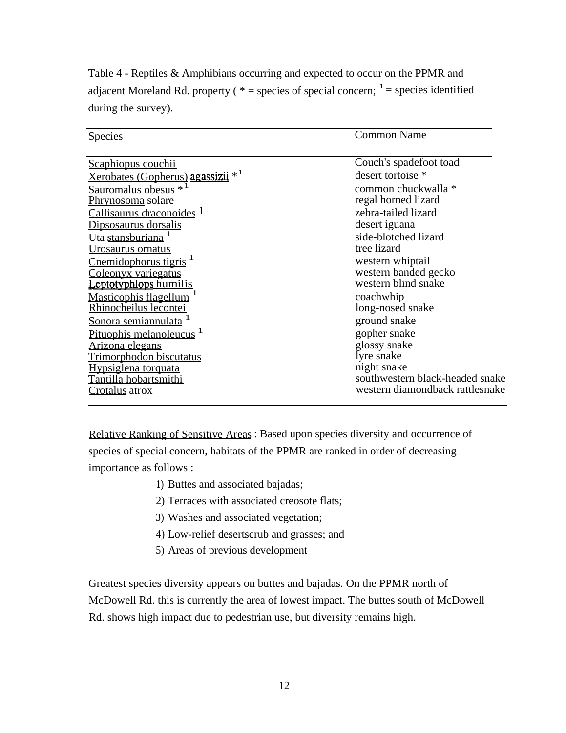| Species                                       | <b>Common Name</b>                                                 |  |
|-----------------------------------------------|--------------------------------------------------------------------|--|
| <u>Scaphiopus couchii</u>                     | Couch's spadefoot toad                                             |  |
| Xerobates (Gopherus) agassizii * <sup>1</sup> | desert tortoise *                                                  |  |
| Sauromalus obesus $*$ <sup>1</sup>            | common chuckwalla *                                                |  |
| Phrynosoma solare                             | regal horned lizard                                                |  |
| Callisaurus draconoides 1                     | zebra-tailed lizard                                                |  |
| Dipsosaurus dorsalis                          | desert iguana                                                      |  |
| Uta stansburiana <sup>1</sup>                 | side-blotched lizard                                               |  |
| <u>Urosaurus</u> ornatus                      | tree lizard                                                        |  |
| Cnemidophorus tigris <sup>1</sup>             | western whiptail                                                   |  |
| Coleonyx variegatus                           | western banded gecko                                               |  |
| Leptotyphlops humilis                         | western blind snake                                                |  |
| <b>Masticophis flagellum</b>                  | coachwhip                                                          |  |
| Rhinocheilus lecontei                         | long-nosed snake                                                   |  |
| Sonora semiannulata                           | ground snake                                                       |  |
| Pituophis melanoleucus <sup>1</sup>           | gopher snake                                                       |  |
| <u>Arizona elegans</u>                        | glossy snake                                                       |  |
| Trimorphodon biscutatus                       | lyre snake                                                         |  |
| Hypsiglena torquata                           | night snake                                                        |  |
| Tantilla hobartsmithi                         | southwestern black-headed snake<br>western diamondback rattlesnake |  |
| Crotalus atrox                                |                                                                    |  |

Table 4 - Reptiles & Amphibians occurring and expected to occur on the PPMR and adjacent Moreland Rd. property ( $*$  = species of special concern;  $1$  = species identified during the survey).

Relative Ranking of Sensitive Areas: Based upon species diversity and occurrence of species of special concern, habitats of the PPMR are ranked in order of decreasing importance as follows :

- 1) Buttes and associated bajadas;
- 2) Terraces with associated creosote flats;
- 3) Washes and associated vegetation;
- 4) Low-relief desertscrub and grasses; and
- 5) Areas of previous development

Greatest species diversity appears on buttes and bajadas. On the PPMR north of McDowell Rd. this is currently the area of lowest impact. The buttes south of McDowell Rd. shows high impact due to pedestrian use, but diversity remains high.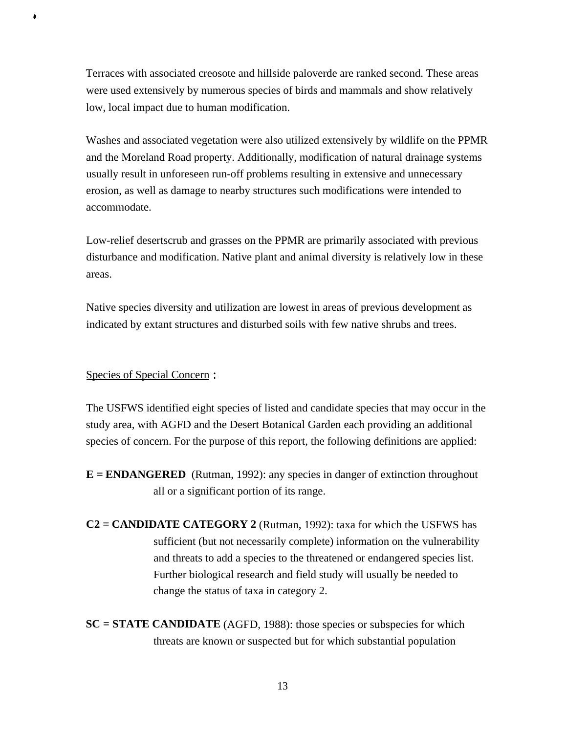Terraces with associated creosote and hillside paloverde are ranked second. These areas were used extensively by numerous species of birds and mammals and show relatively low, local impact due to human modification.

Washes and associated vegetation were also utilized extensively by wildlife on the PPMR and the Moreland Road property. Additionally, modification of natural drainage systems usually result in unforeseen run-off problems resulting in extensive and unnecessary erosion, as well as damage to nearby structures such modifications were intended to accommodate.

Low-relief desertscrub and grasses on the PPMR are primarily associated with previous disturbance and modification. Native plant and animal diversity is relatively low in these areas.

Native species diversity and utilization are lowest in areas of previous development as indicated by extant structures and disturbed soils with few native shrubs and trees.

#### Species of Special Concern :

#

The USFWS identified eight species of listed and candidate species that may occur in the study area, with AGFD and the Desert Botanical Garden each providing an additional species of concern. For the purpose of this report, the following definitions are applied:

- **E = ENDANGERED** (Rutman, 1992): any species in danger of extinction throughout all or a significant portion of its range.
- **C2 = CANDIDATE CATEGORY 2** (Rutman, 1992): taxa for which the USFWS has sufficient (but not necessarily complete) information on the vulnerability and threats to add a species to the threatened or endangered species list. Further biological research and field study will usually be needed to change the status of taxa in category 2.
- **SC = STATE CANDIDATE** (AGFD, 1988): those species or subspecies for which threats are known or suspected but for which substantial population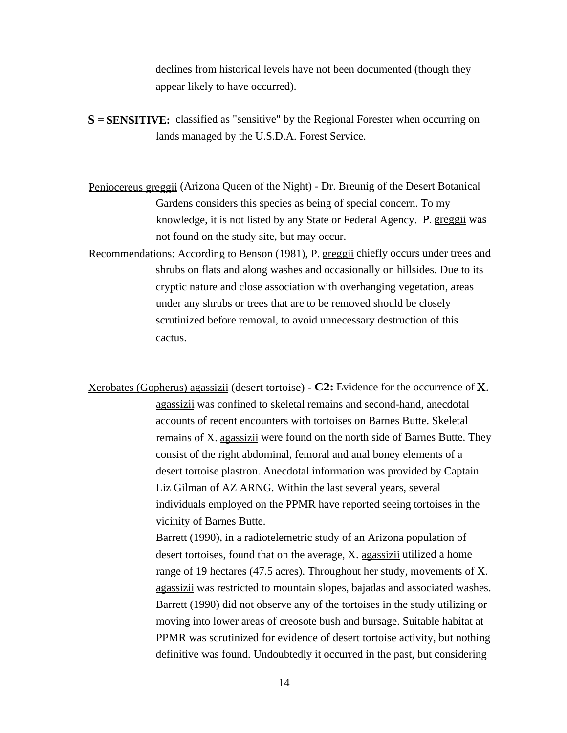declines from historical levels have not been documented (though they appear likely to have occurred).

**S = SENSITIVE:** classified as "sensitive" by the Regional Forester when occurring on lands managed by the U.S.D.A. Forest Service.

Peniocereus greggii (Arizona Queen of the Night) - Dr. Breunig of the Desert Botanical Gardens considers this species as being of special concern. To my knowledge, it is not listed by any State or Federal Agency. P. greggii was not found on the study site, but may occur.

Recommendations: According to Benson (1981), P. greggii chiefly occurs under trees and shrubs on flats and along washes and occasionally on hillsides. Due to its cryptic nature and close association with overhanging vegetation, areas under any shrubs or trees that are to be removed should be closely scrutinized before removal, to avoid unnecessary destruction of this cactus.

Xerobates (Gopherus) agassizii (desert tortoise) - **C2:** Evidence for the occurrence of X. agassizii was confined to skeletal remains and second-hand, anecdotal accounts of recent encounters with tortoises on Barnes Butte. Skeletal remains of X. agassizii were found on the north side of Barnes Butte. They consist of the right abdominal, femoral and anal boney elements of a desert tortoise plastron. Anecdotal information was provided by Captain Liz Gilman of AZ ARNG. Within the last several years, several individuals employed on the PPMR have reported seeing tortoises in the vicinity of Barnes Butte.

> Barrett (1990), in a radiotelemetric study of an Arizona population of desert tortoises, found that on the average, X. <u>agassizii</u> utilized a home range of 19 hectares (47.5 acres). Throughout her study, movements of X. agassizii was restricted to mountain slopes, bajadas and associated washes. Barrett (1990) did not observe any of the tortoises in the study utilizing or moving into lower areas of creosote bush and bursage. Suitable habitat at PPMR was scrutinized for evidence of desert tortoise activity, but nothing definitive was found. Undoubtedly it occurred in the past, but considering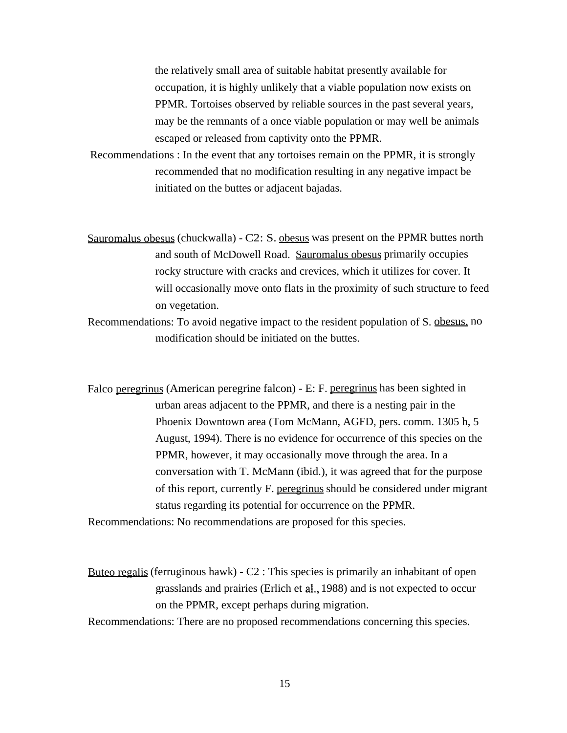the relatively small area of suitable habitat presently available for occupation, it is highly unlikely that a viable population now exists on PPMR. Tortoises observed by reliable sources in the past several years, may be the remnants of a once viable population or may well be animals escaped or released from captivity onto the PPMR.

Recommendations : In the event that any tortoises remain on the PPMR, it is strongly recommended that no modification resulting in any negative impact be initiated on the buttes or adjacent bajadas.

Sauromalus obesus (chuckwalla) - C2: S. obesus was present on the PPMR buttes north and south of McDowell Road. Sauromalus obesus primarily occupies rocky structure with cracks and crevices, which it utilizes for cover. It will occasionally move onto flats in the proximity of such structure to feed on vegetation.

Recommendations: To avoid negative impact to the resident population of S. obesus, no modification should be initiated on the buttes.

Falco peregrinus (American peregrine falcon) - E: F. peregrinus has been sighted in urban areas adjacent to the PPMR, and there is a nesting pair in the Phoenix Downtown area (Tom McMann, AGFD, pers. comm. 1305 h, 5 August, 1994). There is no evidence for occurrence of this species on the PPMR, however, it may occasionally move through the area. In a conversation with T. McMann (ibid.), it was agreed that for the purpose of this report, currently F. peregrinus should be considered under migrant status regarding its potential for occurrence on the PPMR.

Recommendations: No recommendations are proposed for this species.

Buteo regalis (ferruginous hawk)  $-C2$ : This species is primarily an inhabitant of open grasslands and prairies (Erlich et al.,1988) and is not expected to occur on the PPMR, except perhaps during migration.

Recommendations: There are no proposed recommendations concerning this species.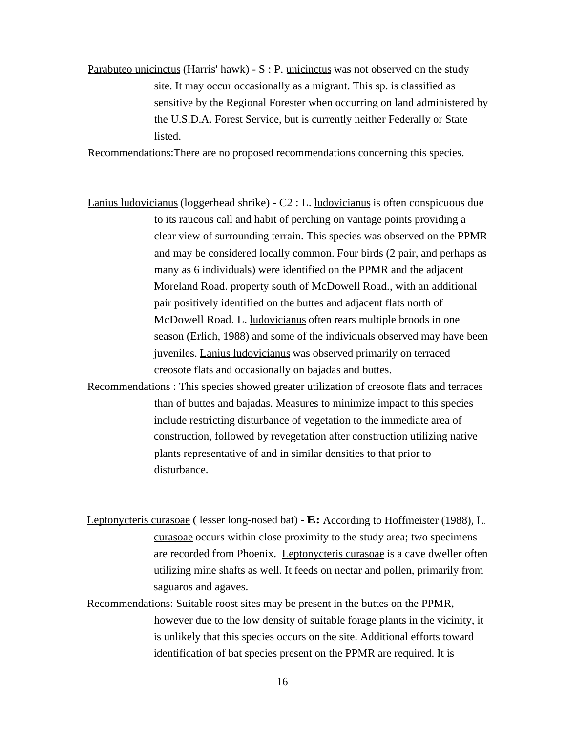Parabuteo unicinctus (Harris' hawk) -  $S : P$ . unicinctus was not observed on the study site. It may occur occasionally as a migrant. This sp. is classified as sensitive by the Regional Forester when occurring on land administered by the U.S.D.A. Forest Service, but is currently neither Federally or State listed.

Recommendations:There are no proposed recommendations concerning this species.

Lanius ludovicianus (loggerhead shrike) -  $C2$  : L. ludovicianus is often conspicuous due to its raucous call and habit of perching on vantage points providing a clear view of surrounding terrain. This species was observed on the PPMR and may be considered locally common. Four birds (2 pair, and perhaps as many as 6 individuals) were identified on the PPMR and the adjacent Moreland Road. property south of McDowell Road., with an additional pair positively identified on the buttes and adjacent flats north of McDowell Road. L. ludovicianus often rears multiple broods in one season (Erlich, 1988) and some of the individuals observed may have been juveniles. Lanius ludovicianus was observed primarily on terraced creosote flats and occasionally on bajadas and buttes.

Recommendations : This species showed greater utilization of creosote flats and terraces than of buttes and bajadas. Measures to minimize impact to this species include restricting disturbance of vegetation to the immediate area of construction, followed by revegetation after construction utilizing native plants representative of and in similar densities to that prior to disturbance.

Leptonycteris curasoae( lesser long-nosed bat) - **E:** According to Hoffmeister (1988), L. curasoae occurs within close proximity to the study area; two specimens are recorded from Phoenix. Leptonycteris curasoae is a cave dweller often utilizing mine shafts as well. It feeds on nectar and pollen, primarily from saguaros and agaves.

Recommendations: Suitable roost sites may be present in the buttes on the PPMR, however due to the low density of suitable forage plants in the vicinity, it is unlikely that this species occurs on the site. Additional efforts toward identification of bat species present on the PPMR are required. It is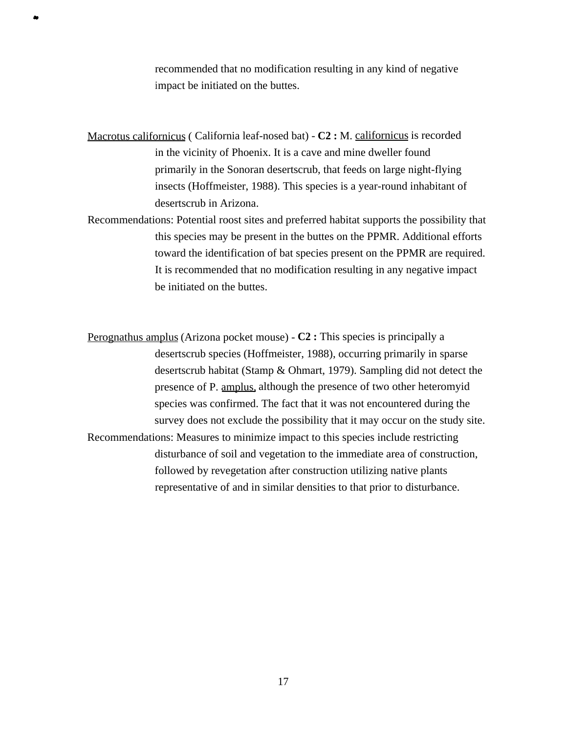recommended that no modification resulting in any kind of negative impact be initiated on the buttes.

Macrotus californicus ( California leaf-nosed bat) - C2 : M. californicus is recorded in the vicinity of Phoenix. It is a cave and mine dweller found primarily in the Sonoran desertscrub, that feeds on large night-flying insects (Hoffmeister, 1988). This species is a year-round inhabitant of desertscrub in Arizona.

**a.** 

Recommendations: Potential roost sites and preferred habitat supports the possibility that this species may be present in the buttes on the PPMR. Additional efforts toward the identification of bat species present on the PPMR are required. It is recommended that no modification resulting in any negative impact be initiated on the buttes.

Perognathus amplus(Arizona pocket mouse) - **C2 :** This species is principally a desertscrub species (Hoffmeister, 1988), occurring primarily in sparse desertscrub habitat (Stamp & Ohmart, 1979). Sampling did not detect the presence of P. amplus, although the presence of two other heteromyid species was confirmed. The fact that it was not encountered during the survey does not exclude the possibility that it may occur on the study site. Recommendations: Measures to minimize impact to this species include restricting

disturbance of soil and vegetation to the immediate area of construction, followed by revegetation after construction utilizing native plants representative of and in similar densities to that prior to disturbance.

17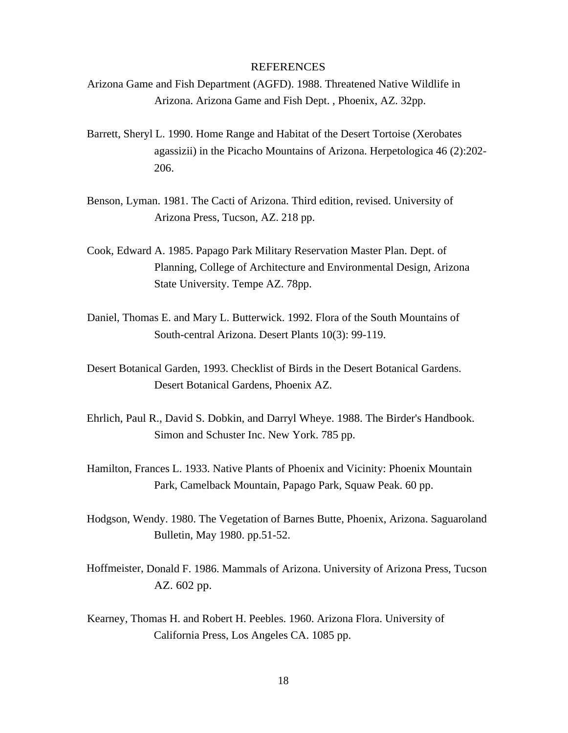#### **REFERENCES**

- Arizona Game and Fish Department (AGFD). 1988. Threatened Native Wildlife in Arizona. Arizona Game and Fish Dept. , Phoenix, AZ. 32pp.
- Barrett, Sheryl L. 1990. Home Range and Habitat of the Desert Tortoise (Xerobates agassizii) in the Picacho Mountains of Arizona. Herpetologica 46 (2):202- 206.
- Benson, Lyman. 1981. The Cacti of Arizona. Third edition, revised. University of Arizona Press, Tucson, AZ. 218 pp.
- Cook, Edward A. 1985. Papago Park Military Reservation Master Plan. Dept. of Planning, College of Architecture and Environmental Design, Arizona State University. Tempe AZ. 78pp.
- Daniel, Thomas E. and Mary L. Butterwick. 1992. Flora of the South Mountains of South-central Arizona. Desert Plants 10(3): 99-119.
- Desert Botanical Garden, 1993. Checklist of Birds in the Desert Botanical Gardens. Desert Botanical Gardens, Phoenix AZ.
- Ehrlich, Paul R., David S. Dobkin, and Darryl Wheye. 1988. The Birder's Handbook. Simon and Schuster Inc. New York. 785 pp.
- Hamilton, Frances L. 1933. Native Plants of Phoenix and Vicinity: Phoenix Mountain Park, Camelback Mountain, Papago Park, Squaw Peak. 60 pp.
- Hodgson, Wendy. 1980. The Vegetation of Barnes Butte, Phoenix, Arizona. Saguaroland Bulletin, May 1980. pp.51-52.
- Hoffmeister, Donald F. 1986. Mammals of Arizona. University of Arizona Press, Tucson AZ. 602 pp.
- Kearney, Thomas H. and Robert H. Peebles. 1960. Arizona Flora. University of California Press, Los Angeles CA. 1085 pp.